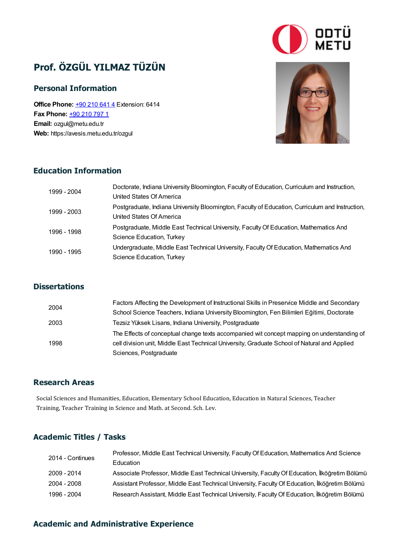### Prof. ÖZGÜL YILMAZ TÜZÜN

### Personal Information

**Office Phone: +90 [210](tel:+90 210 641 4) 641 4 Extension: 6414** Fax Phone: +90 210 [797](tel:+90 210 797 1) 1 Email: ozgul@metu.edu.tr Web: https://avesis.metu.edu.tr/ozgul



ODTÜ<br>METU

### Education Information

| 1999 - 2004 | Doctorate, Indiana University Bloomington, Faculty of Education, Curriculum and Instruction,    |
|-------------|-------------------------------------------------------------------------------------------------|
|             | United States Of America                                                                        |
| 1999 - 2003 | Postgraduate, Indiana University Bloomington, Faculty of Education, Curriculum and Instruction, |
|             | United States Of America                                                                        |
| 1996 - 1998 | Postgraduate, Middle East Technical University, Faculty Of Education, Mathematics And           |
|             | Science Education, Turkey                                                                       |
| 1990 - 1995 | Undergraduate, Middle East Technical University, Faculty Of Education, Mathematics And          |
|             | Science Education, Turkey                                                                       |

### **Dissertations**

| 2004 | Factors Affecting the Development of Instructional Skills in Preservice Middle and Secondary |
|------|----------------------------------------------------------------------------------------------|
|      | School Science Teachers, Indiana University Bloomington, Fen Bilimleri Eğitimi, Doctorate    |
| 2003 | Tezsiz Yüksek Lisans, Indiana University, Postgraduate                                       |
|      | The Effects of conceptual change texts accompanied wit concept mapping on understanding of   |
| 1998 | cell division unit, Middle East Technical University, Graduate School of Natural and Applied |
|      | Sciences, Postgraduate                                                                       |

### Research Areas

Research Areas<br>Social Sciences and Humanities, Education, Elementary School Education, Education in Natural Sciences, Teacher<br>Training Teacher Training in Science and Math at Second, Sch. Lay **TESEAT CIT ATEAS**<br>Social Sciences and Humanities, Education, Elementary School Educa<br>Training, Teacher Training in Science and Math. at Second. Sch. Lev.

### Academic Titles / Tasks

| 2014 - Continues | Professor, Middle East Technical University, Faculty Of Education, Mathematics And Science     |
|------------------|------------------------------------------------------------------------------------------------|
|                  | Education                                                                                      |
| 2009 - 2014      | Associate Professor, Middle East Technical University, Faculty Of Education, İlköğretim Bölümü |
| 2004 - 2008      | Assistant Professor, Middle East Technical University, Faculty Of Education, İlköğretim Bölümü |
| 1996 - 2004      | Research Assistant, Middle East Technical University, Faculty Of Education, İlköğretim Bölümü  |

#### Academic and Administrative Experience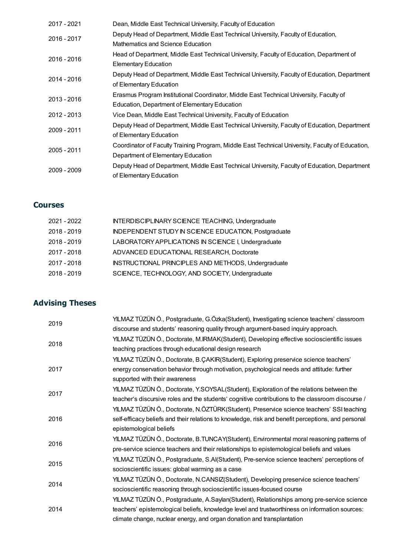| 2017 - 2021 | Dean, Middle East Technical University, Faculty of Education                                     |
|-------------|--------------------------------------------------------------------------------------------------|
| 2016 - 2017 | Deputy Head of Department, Middle East Technical University, Faculty of Education,               |
|             | Mathematics and Science Education                                                                |
| 2016 - 2016 | Head of Department, Middle East Technical University, Faculty of Education, Department of        |
|             | <b>Elementary Education</b>                                                                      |
| 2014 - 2016 | Deputy Head of Department, Middle East Technical University, Faculty of Education, Department    |
|             | of Elementary Education                                                                          |
| 2013 - 2016 | Erasmus Program Institutional Coordinator, Middle East Technical University, Faculty of          |
|             | Education, Department of Elementary Education                                                    |
| 2012 - 2013 | Vice Dean, Middle East Technical University, Faculty of Education                                |
| 2009 - 2011 | Deputy Head of Department, Middle East Technical University, Faculty of Education, Department    |
|             | of Elementary Education                                                                          |
| 2005 - 2011 | Coordinator of Faculty Training Program, Middle East Technical University, Faculty of Education, |
|             | Department of Elementary Education                                                               |
| 2009 - 2009 | Deputy Head of Department, Middle East Technical University, Faculty of Education, Department    |
|             | of Elementary Education                                                                          |

### Courses

| 2021 - 2022 | INTERDISCIPLINARY SCIENCE TEACHING, Undergraduate           |
|-------------|-------------------------------------------------------------|
| 2018 - 2019 | <b>INDEPENDENT STUDY IN SCIENCE EDUCATION, Postgraduate</b> |
| 2018 - 2019 | LABORATORY APPLICATIONS IN SCIENCE I, Undergraduate         |
| 2017 - 2018 | ADVANCED EDUCATIONAL RESEARCH, Doctorate                    |
| 2017 - 2018 | INSTRUCTIONAL PRINCIPLES AND METHODS, Undergraduate         |
| 2018 - 2019 | SCIENCE, TECHNOLOGY, AND SOCIETY, Undergraduate             |
|             |                                                             |

### Advising Theses

| 2019 | YILMAZ TÜZÜN Ö., Postgraduate, G.Özka(Student), Investigating science teachers' classroom          |
|------|----------------------------------------------------------------------------------------------------|
|      | discourse and students' reasoning quality through argument-based inquiry approach.                 |
| 2018 | YILMAZ TÜZÜN Ö., Doctorate, M.IRMAK(Student), Developing effective socioscientific issues          |
|      | teaching practices through educational design research                                             |
|      | YILMAZ TÜZÜN Ö., Doctorate, B.ÇAKIR(Student), Exploring preservice science teachers'               |
| 2017 | energy conservation behavior through motivation, psychological needs and attitude: further         |
|      | supported with their awareness                                                                     |
| 2017 | YILMAZ TÜZÜN Ö., Doctorate, Y.SOYSAL(Student), Exploration of the relations between the            |
|      | teacher's discursive roles and the students' cognitive contributions to the classroom discourse /  |
|      | YILMAZ TÜZÜN Ö., Doctorate, N.ÖZTÜRK(Student), Preservice science teachers' SSI teaching           |
| 2016 | self-efficacy beliefs and their relations to knowledge, risk and benefit perceptions, and personal |
|      | epistemological beliefs                                                                            |
|      | YILMAZ TÜZÜN Ö., Doctorate, B.TUNCAY(Student), Environmental moral reasoning patterns of           |
| 2016 | pre-service science teachers and their relationships to epistemological beliefs and values         |
|      | YILMAZ TÜZÜN Ö., Postgraduate, S.Al(Student), Pre-service science teachers' perceptions of         |
| 2015 | socioscientific issues: global warming as a case                                                   |
|      | YILMAZ TÜZÜN Ö., Doctorate, N.CANSIZ(Student), Developing preservice science teachers'             |
| 2014 | socioscientific reasoning through socioscientific issues-focused course                            |
|      | YILMAZ TÜZÜN Ö., Postgraduate, A.Saylan(Student), Relationships among pre-service science          |
| 2014 | teachers' epistemological beliefs, knowledge level and trustworthiness on information sources:     |
|      | climate change, nuclear energy, and organ donation and transplantation                             |
|      |                                                                                                    |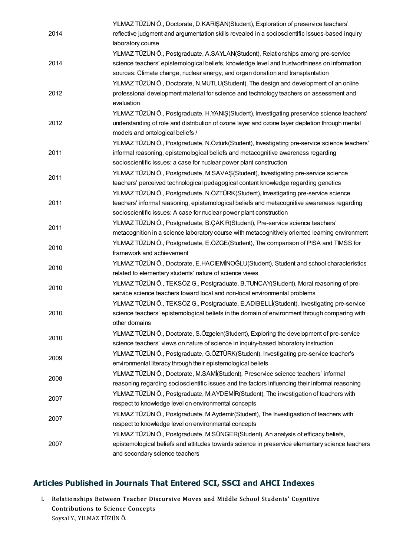|      | YILMAZ TÜZÜN Ö., Doctorate, D.KARIŞAN(Student), Exploration of preservice teachers'             |
|------|-------------------------------------------------------------------------------------------------|
| 2014 | reflective judgment and argumentation skills revealed in a socioscientific issues-based inquiry |
|      | laboratory course                                                                               |
|      | YILMAZ TÜZÜN Ö., Postgraduate, A.SAYLAN(Student), Relationships among pre-service               |
| 2014 | science teachers' epistemological beliefs, knowledge level and trustworthiness on information   |
|      | sources: Climate change, nuclear energy, and organ donation and transplantation                 |
|      | YILMAZ TÜZÜN Ö., Doctorate, N.MUTLU(Student), The design and development of an online           |
| 2012 | professional development material for science and technology teachers on assessment and         |
|      | evaluation                                                                                      |
|      | YILMAZ TÜZÜN Ö., Postgraduate, H.YANIŞ (Student), Investigating preservice science teachers'    |
| 2012 | understanding of role and distribution of ozone layer and ozone layer depletion through mental  |
|      | models and ontological beliefs /                                                                |
|      | YILMAZ TÜZÜN Ö., Postgraduate, N.Öztürk (Student), Investigating pre-service science teachers'  |
| 2011 | informal reasoning, epistemological beliefs and metacognitive awareness regarding               |
|      | socioscientific issues: a case for nuclear power plant construction                             |
|      | YILMAZ TÜZÜN Ö., Postgraduate, M.SAVAŞ(Student), Investigating pre-service science              |
| 2011 | teachers' perceived technological pedagogical content knowledge regarding genetics              |
|      | YILMAZ TÜZÜN Ö., Postgraduate, N.ÖZTÜRK(Student), Investigating pre-service science             |
| 2011 | teachers' informal reasoning, epistemological beliefs and metacognitive awareness regarding     |
|      | socioscientific issues: A case for nuclear power plant construction                             |
|      | YILMAZ TÜZÜN Ö., Postgraduate, B.ÇAKIR(Student), Pre-service science teachers'                  |
| 2011 | metacognition in a science laboratory course with metacognitively oriented learning environment |
| 2010 | YILMAZ TÜZÜN Ö., Postgraduate, E.ÖZGE(Student), The comparison of PISA and TIMSS for            |
|      | framework and achievement                                                                       |
|      | YILMAZ TÜZÜN Ö., Doctorate, E.HACIEMİNOĞLU(Student), Student and school characteristics         |
| 2010 | related to elementary students' nature of science views                                         |
|      | YILMAZ TÜZÜN Ö., TEKSÖZ G., Postgraduate, B.TUNCAY(Student), Moral reasoning of pre-            |
| 2010 | service science teachers toward local and non-local environmental problems                      |
|      | YILMAZ TÜZÜN Ö., TEKSÖZ G., Postgraduate, E.ADIBELLİ(Student), Investigating pre-service        |
| 2010 | science teachers' epistemological beliefs in the domain of environment through comparing with   |
|      | other domains                                                                                   |
| 2010 | YILMAZ TÜZÜN Ö., Doctorate, S.Özgelen(Student), Exploring the development of pre-service        |
|      | science teachers' views on nature of science in inquiry-based laboratory instruction            |
| 2009 | YILMAZ TÜZÜN Ö., Postgraduate, G.ÖZTÜRK(Student), Investigating pre-service teacher's           |
|      | environmental literacy through their epistemological beliefs                                    |
| 2008 | YILMAZ TÜZÜN Ö., Doctorate, M.SAMİ(Student), Preservice science teachers' informal              |
|      | reasoning regarding socioscientific issues and the factors influencing their informal reasoning |
| 2007 | YILMAZ TÜZÜN Ö., Postgraduate, M.AYDEMİR(Student), The investigation of teachers with           |
|      | respect to knowledge level on environmental concepts                                            |
| 2007 | YILMAZ TÜZÜN Ö., Postgraduate, M.Aydemir(Student), The Investigastion of teachers with          |
|      | respect to knowledge level on environmental concepts                                            |
|      | YILMAZ TÜZÜN Ö., Postgraduate, M.SÜNGER(Student), An analysis of efficacy beliefs,              |
| 2007 | epistemological beliefs and attitudes towards science in preservice elementary science teachers |
|      | and secondary science teachers                                                                  |

Articles Published in Journals That Entered SCI, SSCI and AHCI Indexes<br>I. Relationships Between Teacher Discursive Moves and Middle School Students' Cognitive<br>Contributions to Science Concents **Contributions Between Teacher Distributions to Science Concepts**<br>Contributions to Science Concepts<br>Seveal V, VII MAZ TÜZÜN Ö Relationships Between T<br>Contributions to Science<br>Soysal Y., YILMAZ TÜZÜN Ö.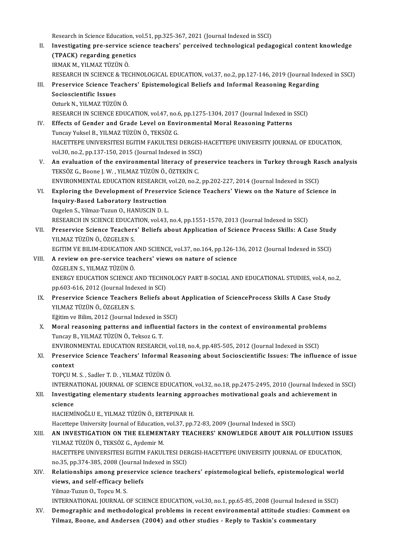Research in Science Education, vol.51, pp.325-367, 2021 (Journal Indexed in SSCI)<br>Investigating are convice esignes teachers' persoived technological pedas

- II. Investigating pre-service science teachers' perceived technological pedagogical content knowledge<br>(TPACK) regarding genetics Research in Science Education, v<br>Investigating pre-service scient<br>(TPACK) regarding genetics<br>IPMAK M. VII MAZ TÜZÜNÖ IRMAKM.,YILMAZTÜZÜNÖ. (TPACK) regarding genetics<br>IRMAK M., YILMAZ TÜZÜN Ö.<br>RESEARCH IN SCIENCE & TECHNOLOGICAL EDUCATION, vol.37, no.2, pp.127-146, 2019 (Journal Indexed in SSCI)<br>Preservise Science Teachers' Enistemelegisel Beliefs and Informal IRMAK M., YILMAZ TÜZÜN Ö.<br>RESEARCH IN SCIENCE & TECHNOLOGICAL EDUCATION, vol.37, no.2, pp.127-146, 2019 (Journal Inde<br>III. Preservice Science Teachers' Epistemological Beliefs and Informal Reasoning Regarding<br>Sociosciontif
- RESEARCH IN SCIENCE &<br>Preservice Science Te<br>Socioscientific Issues<br>Ozturk N. VII MAZ TÜZÜ Preservice Science Teach<br>Socioscientific Issues<br>Ozturk N., YILMAZ TÜZÜN Ö.<br>PESEARCH IN SCIENCE EDUC Socioscientific Issues<br>Ozturk N., YILMAZ TÜZÜN Ö.<br>RESEARCH IN SCIENCE EDUCATION, vol.47, no.6, pp.1275-1304, 2017 (Journal Indexed in SSCI)<br>Effects of Conder and Crade Lavel on Environmental Moral Beasoning Patterns.
- Ozturk N., YILMAZ TÜZÜN Ö.<br>RESEARCH IN SCIENCE EDUCATION, vol.47, no.6, pp.1275-1304, 2017 (Journal Indexed in<br>IV. Effects of Gender and Grade Level on Environmental Moral Reasoning Patterns<br>Tuncay Yuksel B., YILMAZ TÜZÜN RESEARCH IN SCIENCE EDUCATION, vol.47, no.6<br>Effects of Gender and Grade Level on Env:<br>Tuncay Yuksel B., YILMAZ TÜZÜN Ö., TEKSÖZ G.<br>HACETTERE UNIVERSITESI ECITIM FAKULTESI Effects of Gender and Grade Level on Environmental Moral Reasoning Patterns<br>Tuncay Yuksel B., YILMAZ TÜZÜN Ö., TEKSÖZ G.<br>HACETTEPE UNIVERSITESI EGITIM FAKULTESI DERGISI-HACETTEPE UNIVERSITY JOURNAL OF EDUCATION,<br>vol 30 no Tuncay Yuksel B., YILMAZ TÜZÜN Ö., TEKSÖZ G.<br>HACETTEPE UNIVERSITESI EGITIM FAKULTESI DERGISI-<br>vol.30, no.2, pp.137-150, 2015 (Journal Indexed in SSCI)<br>An evoluction of the environmental literacy of nne HACETTEPE UNIVERSITESI EGITIM FAKULTESI DERGISI-HACETTEPE UNIVERSITY JOURNAL OF EDUCATION,<br>vol.30, no.2, pp.137-150, 2015 (Journal Indexed in SSCI)<br>V. An evaluation of the environmental literacy of preservice teachers in T
- vol.30, no.2, pp.137-150, 2015 (Journal Indexed in SSCI<br>An evaluation of the environmental literacy of pr<br>TEKSÖZ G., Boone J. W. , YILMAZ TÜZÜN Ö., ÖZTEKİN C.<br>ENVIRONMENTAL EDUCATION BESEARCH vol.30, no.3 An evaluation of the environmental literacy of preservice teachers in Turkey through Ra<br>TEKSÖZ G., Boone J. W. , YILMAZ TÜZÜN Ö., ÖZTEKİN C.<br>ENVIRONMENTAL EDUCATION RESEARCH, vol.20, no.2, pp.202-227, 2014 (Journal Indexed TEKSÖZ G., Boone J. W. , YILMAZ TÜZÜN Ö., ÖZTEKİN C.<br>ENVIRONMENTAL EDUCATION RESEARCH, vol.20, no.2, pp.202-227, 2014 (Journal Indexed in SSCI)<br>VI. Exploring the Development of Preservice Science Teachers' Views on the Nat
- ENVIRONMENTAL EDUCATION RESEARCH, vol.20, no.2, pp.202-227, 2014 (Journal Indexed in SSCI)<br>Exploring the Development of Preservice Science Teachers' Views on the Nature of Scien<br>Inquiry-Based Laboratory Instruction<br>Ozgelen Exploring the Development of Preservi<br>Inquiry-Based Laboratory Instruction<br>Ozgelen S., Yilmaz-Tuzun O., HANUSCIN D. L.<br>RESEARCH IN SCIENCE EDUCATION vol 42 Inquiry-Based Laboratory Instruction<br>Ozgelen S., Yilmaz-Tuzun O., HANUSCIN D. L.<br>RESEARCH IN SCIENCE EDUCATION, vol.43, no.4, pp.1551-1570, 2013 (Journal Indexed in SSCI)<br>Preservise Ssiense Teachers' Beliefs shout Annlisst
- VII. Preservice Science Teachers' Beliefs about Application of Science Process Skills: A Case Study<br>YILMAZ TÜZÜN Ö., ÖZGELEN S. RESEARCH IN SCIENCE EDUCAT<br>Preservice Science Teachers<br>YILMAZ TÜZÜN Ö., ÖZGELEN S.<br>ECITIM VE PILIM EDUCATION Preservice Science Teachers' Beliefs about Application of Science Process Skills: A Case Stud<br>YILMAZ TÜZÜN Ö., ÖZGELEN S.<br>EGITIM VE BILIM-EDUCATION AND SCIENCE, vol.37, no.164, pp.126-136, 2012 (Journal Indexed in SSCI)<br>A
	-
- VIII. A review on pre-service teachers' views on nature of science<br>ÖZGELEN S., YILMAZ TÜZÜN Ö. EGITIM VE BILIM-EDUCATION A<br>**A review on pre-service tea**<br>ÖZGELEN S., YILMAZ TÜZÜN Ö.<br>ENERCY EDUCATION SCIENCE A review on pre-service teachers' views on nature of science<br>ÖZGELEN S., YILMAZ TÜZÜN Ö.<br>ENERGY EDUCATION SCIENCE AND TECHNOLOGY PART B-SOCIAL AND EDUCATIONAL STUDIES, vol.4, no.2,<br>np.603,616, 2012 (Jaurnal Indaved in SCD) ÖZGELEN S., YILMAZ TÜZÜN Ö.<br>ENERGY EDUCATION SCIENCE AND TECHN<br>pp.603-616, 2012 (Journal Indexed in SCI)<br>Preservise Ssiense Teashers Beliefs ak ENERGY EDUCATION SCIENCE AND TECHNOLOGY PART B-SOCIAL AND EDUCATIONAL STUDIES, vol.4, no<br>pp.603-616, 2012 (Journal Indexed in SCI)<br>IX. Preservice Science Teachers Beliefs about Application of ScienceProcess Skills A Case S
	- pp.603-616, 2012 (Journal Indexed in SCI)<br>Preservice Science Teachers Beliefs about<br>YILMAZ TÜZÜN Ö., ÖZGELEN S.<br>Eğitim ve Bilim, 2012 (Journal Indexed in SSCI) IX. Preservice Science Teachers Beliefs about Application of ScienceProcess Skills A Case Study
	- X. Moral reasoning patterns and influential factors in the context of environmental problems Tuncay B., YILMAZ TÜZÜN Ö., Teksoz G. T. Moral reasoning patterns and influential factors in the context of environmental problem<br>Tuncay B., YILMAZ TÜZÜN Ö., Teksoz G. T.<br>ENVIRONMENTAL EDUCATION RESEARCH, vol.18, no.4, pp.485-505, 2012 (Journal Indexed in SSCI)<br>P Tuncay B., YILMAZ TÜZÜN Ö., Teksoz G. T.<br>ENVIRONMENTAL EDUCATION RESEARCH, vol.18, no.4, pp.485-505, 2012 (Journal Indexed in SSCI)<br>XI. Preservice Science Teachers' Informal Reasoning about Socioscientific Issues: The

ENVIRON<br>Preserv<br>context<br>TOPCU M Preservice Science Teachers' Informal I<br>context<br>TOPÇU M. S. , Sadler T. D. , YILMAZ TÜZÜN Ö.<br>INTERNATIONAL JOURNAL OF SCIENCE EDU context<br>TOPÇU M. S. , Sadler T. D. , YILMAZ TÜZÜN Ö.<br>INTERNATIONAL JOURNAL OF SCIENCE EDUCATION, vol.32, no.18, pp.2475-2495, 2010 (Journal Indexed in SSCI)<br>Investigating elementary students learning annreashes metivationa

TOPÇU M. S. , Sadler T. D. , YILMAZ TÜZÜN Ö.<br>INTERNATIONAL JOURNAL OF SCIENCE EDUCATION, vol.32, no.18, pp.2475-2495, 2010 (Journal Indexed in<br>XII. Investigating elementary students learning approaches motivational goals a **INTERNA**<br>Investig<br>science<br>HACIEMI Investigating elementary students learning app<br>science<br>HACIEMİNOĞLU E., YILMAZ TÜZÜN Ö., ERTEPINAR H.<br>Hacettene University Journal of Education vol 37 nn i science<br>HACIEMİNOĞLU E., YILMAZ TÜZÜN Ö., ERTEPINAR H.<br>Hacettepe University Journal of Education, vol.37, pp.72-83, 2009 (Journal Indexed in SSCI)<br>AN INVESTIC ATION ON THE ELEMENTARY TEACHERS' KNOWLEDCE ABOUT AIR I

## HACIEMINOĞLU E., YILMAZ TÜZÜN Ö., ERTEPINAR H.<br>Hacettepe University Journal of Education, vol.37, pp.72-83, 2009 (Journal Indexed in SSCI)<br>XIII. – AN INVESTIGATION ON THE ELEMENTARY TEACHERS' KNOWLEDGE ABOUT AIR POLLUTION Hacettepe University Journal of Education,<br>AN INVESTIGATION ON THE ELEMEN'<br>YILMAZ TÜZÜN Ö., TEKSÖZ G., Aydemir M.<br>HACETTEDE UNIVERSITESI ECITIM EAKUL AN INVESTIGATION ON THE ELEMENTARY TEACHERS' KNOWLEDGE ABOUT AIR POLLUTION ISSI<br>YILMAZ TÜZÜN Ö., TEKSÖZ G., Aydemir M.<br>HACETTEPE UNIVERSITESI EGITIM FAKULTESI DERGISI-HACETTEPE UNIVERSITY JOURNAL OF EDUCATION,<br>PR.<sup>25, PP.</sub></sup> YILMAZ TÜZÜN Ö., TEKSÖZ G., Aydemir M.<br>HACETTEPE UNIVERSITESI EGITIM FAKULTESI DERGISI-HACETTEPE UNIVERSITY JOURNAL OF EDUCATION,<br>no.35, pp.374-385, 2008 (Journal Indexed in SSCI)

HACETTEPE UNIVERSITESI EGITIM FAKULTESI DERGISI-HACETTEPE UNIVERSITY JOURNAL OF EDUCATION,<br>no.35, pp.374-385, 2008 (Journal Indexed in SSCI)<br>XIV. Relationships among preservice science teachers' epistemological beliefs, ep no.35, pp.374-385, 2008 (Journal I<br>Relationships among preservic<br>views, and self-efficacy beliefs<br><sup>Vilmog</sup> Tuzun O. Tongu M. S

views, and self-efficacy beliefs<br>Yilmaz-Tuzun O., Topcu M. S.

INTERNATIONAL JOURNAL OF SCIENCE EDUCATION, vol.30, no.1, pp.65-85, 2008 (Journal Indexed in SSCI)

XV. Demographic andmethodological problems in recent environmental attitude studies: Comment on Yilmaz, Boone, and Andersen (2004) and other studies - Reply to Taskin's commentary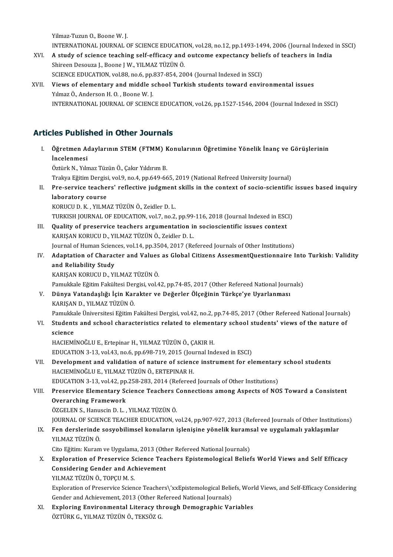Yilmaz-TuzunO.,BooneW. J.

Yilmaz-Tuzun O., Boone W. J.<br>INTERNATIONAL JOURNAL OF SCIENCE EDUCATION, vol.28, no.12, pp.1493-1494, 2006 (Journal Indexed in SSCI)<br>A study of science teaching self efficesy and eutseme eynestangy beliefs of teachers in I

- Yilmaz-Tuzun O., Boone W. J.<br>INTERNATIONAL JOURNAL OF SCIENCE EDUCATION, vol.28, no.12, pp.1493-1494, 2006 (Journal Indexed<br>XVI. A study of science teaching self-efficacy and outcome expectancy beliefs of teachers in India INTERNATIONAL JOURNAL OF SCIENCE EDUCATION<br>A study of science teaching self-efficacy and<br>Shireen Desouza J., Boone J W., YILMAZ TÜZÜN Ö.<br>SCIENCE EDUCATION vol 99 ns 6 nn 927 954 20 XVI. A study of science teaching self-efficacy and outcome expectancy beliefs of teachers in India<br>Shireen Desouza J., Boone J W., YILMAZ TÜZÜN Ö.<br>SCIENCE EDUCATION, vol.88, no.6, pp.837-854, 2004 (Journal Indexed in SSCI)
- XVII. Views of elementary and middle school Turkish students toward environmental issues Yılmaz Ö., Anderson H. O., Boone W. J. INTERNATIONAL JOURNAL OF SCIENCE EDUCATION, vol.26, pp.1527-1546, 2004 (Journal Indexed in SSCI)

### Articles Published in Other Journals

- **ticles Published in Other Journals**<br>I. Öğretmen Adaylarının STEM (FTMM) Konularının Öğretimine Yönelik İnanç ve Görüşlerinin<br>İncelenmesi **ies Fubils**<br>Öğretmen Ad<br>Öztürk M. Yılm Öğretmen Adaylarının STEM (FTMM) k<br>İncelenmesi<br>Öztürk N., Yılmaz Tüzün Ö., Çakır Yıldırım B.<br>Trakıra Fğitim Dargisi val 9, no.4, np.649,66 **İncelenmesi**<br>Öztürk N., Yılmaz Tüzün Ö., Çakır Yıldırım B.<br>Trakya Eğitim Dergisi, vol.9, no.4, pp.649-665, 2019 (National Refreed University Journal)<br>Pre servise teashers' reflective judgment ekille in the sentevt of sesi Öztürk N., Yılmaz Tüzün Ö., Çakır Yıldırım B.<br>Trakya Eğitim Dergisi, vol.9, no.4, pp.649-665, 2019 (National Refreed University Journal)<br>II. Pre-service teachers' reflective judgment skills in the context of socio-scientif Trakya Eğitim Dergis<br><mark>Pre-service teache</mark><br>laboratory course<br>KOPUCU D. K., VU M Pre-service teachers' reflective judgment<br>laboratory course<br>KORUCU D.K., YILMAZ TÜZÜN Ö., Zeidler D. L.<br>TURKISH JOURNAL OF EDUCATION vel 7, ne 3 laboratory course<br>KORUCU D. K. , YILMAZ TÜZÜN Ö., Zeidler D. L.<br>TURKISH JOURNAL OF EDUCATION, vol.7, no.2, pp.99-116, 2018 (Journal Indexed in ESCI)<br>Quality of presenvise teachers ensumentation in sesiessientifie issues se KORUCU D. K., YILMAZ TÜZÜN Ö., Zeidler D. L.<br>TURKISH JOURNAL OF EDUCATION, vol.7, no.2, pp.99-116, 2018 (Journal Indexed in ESC<br>III. Quality of preservice teachers argumentation in socioscientific issues context<br>KARISAN KO TURKISH JOURNAL OF EDUCATION, vol.7, no.2, pp.99-<br>Quality of preservice teachers argumentation in<br>KARIŞAN KORUCU D., YILMAZ TÜZÜN Ö., Zeidler D. L.<br>Journal of Human Sciences vol.14, np.3504, 2017. (Po III. Quality of preservice teachers argumentation in socioscientific issues context<br>KARIŞAN KORUCU D., YILMAZ TÜZÜN Ö., Zeidler D. L.<br>Journal of Human Sciences, vol.14, pp.3504, 2017 (Refereed Journals of Other Institution KARIŞAN KORUCU D., YILMAZ TÜZÜN Ö., Zeidler D. L.<br>Journal of Human Sciences, vol.14, pp.3504, 2017 (Refereed Journals of Other Institutions)<br>IV. Adaptation of Character and Values as Global Citizens AssesmentQuestionna **Journal of Human Scienc<br>Adaptation of Charac<br>and Reliability Study<br>KARISAN KORUCU D-VI** Adaptation of Character and Values<br>and Reliability Study<br>KARIŞAN KORUCU D., YILMAZ TÜZÜN Ö.<br>Pamukkala Făitim Fakültasi Daraisi val 4 <mark>and Reliability Study</mark><br>KARIŞAN KORUCU D., YILMAZ TÜZÜN Ö.<br>Pamukkale Eğitim Fakültesi Dergisi, vol.42, pp.74-85, 2017 (Other Refereed National Journals)<br>Dünya Vatandaslığı İsin Karaktar ve Değerler Ölseğinin Türkse've Uvar KARIŞAN KORUCU D., YILMAZ TÜZÜN Ö.<br>Pamukkale Eğitim Fakültesi Dergisi, vol.42, pp.74-85, 2017 (Other Refereed National Journ<br>V. Dünya Vatandaşlığı İçin Karakter ve Değerler Ölçeğinin Türkçe'ye Uyarlanması<br>KARIŞAN D., Y Pamukkale Eğitim Fakültesi Der<br><mark>Dünya Vatandaşlığı İçin Kar</mark><br>KARIŞAN D., YILMAZ TÜZÜN Ö.<br>Pamukkala Üniversitesi Fğitim E Dünya Vatandaşlığı İçin Karakter ve Değerler Ölçeğinin Türkçe'ye Uyarlanması<br>KARIŞAN D., YILMAZ TÜZÜN Ö.<br>Pamukkale Üniversitesi Eğitim Fakültesi Dergisi, vol.42, no.2, pp.74-85, 2017 (Other Refereed National Journals)<br>Stud KARIŞAN D., YILMAZ TÜZÜN Ö.<br>Pamukkale Üniversitesi Eğitim Fakültesi Dergisi, vol.42, no.2, pp.74-85, 2017 (Other Refereed National Journals<br>VI. Students and school characteristics related to elementary school students' vie Pamukka<br><mark>Student</mark><br>science<br>HACIEMI Students and school characteristics related to elemen<br>science<br>HACIEMİNOĞLU E., Ertepinar H., YILMAZ TÜZÜN Ö., ÇAKIR H.<br>EDUCATION 3.13. val.43. ne.6. np.609.710.2015 (Jaurnal Ind science<br>HACIEMİNOĞLU E., Ertepinar H., YILMAZ TÜZÜN Ö., ÇAKIR H.<br>EDUCATION 3-13, vol.43, no.6, pp.698-719, 2015 (Journal Indexed in ESCI)<br>Povelarment and volidation of nature of sajange instrument for al HACIEMİNOĞLU E., Ertepinar H., YILMAZ TÜZÜN Ö., ÇAKIR H.<br>EDUCATION 3-13, vol.43, no.6, pp.698-719, 2015 (Journal Indexed in ESCI)<br>VII. Development and validation of nature of science instrument for elementary school st EDUCATION 3-13, vol.43, no.6, pp.698-719, 2015 (Jou<br>Development and validation of nature of science<br>HACIEMINOĞLU E., YILMAZ TÜZÜN Ö., ERTEPINAR H.<br>EDUCATION 3-13, vol.43, pp.359-393-3014 (Referees Development and validation of nature of science instrument for elementary<br>HACIEMİNOĞLU E., YILMAZ TÜZÜN Ö., ERTEPINAR H.<br>EDUCATION 3-13, vol.42, pp.258-283, 2014 (Refereed Journals of Other Institutions)<br>Preservise Element HACIEMİNOĞLU E., YILMAZ TÜZÜN Ö., ERTEPINAR H.<br>EDUCATION 3-13, vol.42, pp.258-283, 2014 (Refereed Journals of Other Institutions)<br>VIII. Preservice Elementary Science Teachers Connections among Aspects of NOS Toward a Consi EDUCATION 3-13, vol.42, pp.<br>Preservice Elementary Sc<br>Overarching Framework Preservice Elementary Science Teachers (<br>Overarching Framework<br>ÖZGELEN S., Hanuscin D. L. , YILMAZ TÜZÜN Ö.<br>JOUPNAL OF SCIENCE TEACHER EDUCATION Overarching Framework<br>ÖZGELEN S., Hanuscin D. L. , YILMAZ TÜZÜN Ö.<br>JOURNAL OF SCIENCE TEACHER EDUCATION, vol.24, pp.907-927, 2013 (Refereed Journals of Other Institutions)<br>Ean derskringe sesuebilimeel kanuların islanisine ÖZGELEN S., Hanuscin D. L. , YILMAZ TÜZÜN Ö.<br>IOURNAL OF SCIENCE TEACHER EDUCATION, vol.24, pp.907-927, 2013 (Refereed Journals of Other Institutionally pak<br>IX. Fen derslerinde sosyobilimsel konuların işlenişine yönelik JOURNAL OF SCIEN<br>Fen derslerinde<br>YILMAZ TÜZÜN Ö.<br>Cito Făitimı Kuram Fen derslerinde sosyobilimsel konuların işlenişine yönelik kurams<br>YILMAZ TÜZÜN Ö.<br>Cito Eğitim: Kuram ve Uygulama, 2013 (Other Refereed National Journals)<br>Eynloration of Preservice Science Teachers Enistemalogical Belief YILMAZ TÜZÜN Ö.<br>Cito Eğitim: Kuram ve Uygulama, 2013 (Other Refereed National Journals)<br>X. Exploration of Preservice Science Teachers Epistemological Beliefs World Views and Self Efficacy<br>Considering Conder and Achievement Cito Eğitim: Kuram ve Uygulama, 2013 (Oth<br>Exploration of Preservice Science Tea<br>Considering Gender and Achievement<br>VU MAZ TÜZÜN Ö, TOPCU M.S Exploration of Preservice S<br>Considering Gender and Acl<br>YILMAZ TÜZÜN Ö., TOPÇU M. S.<br>Evploration of Preservice Scien Considering Gender and Achievement<br>YILMAZ TÜZÜN Ö., TOPÇU M. S.<br>Exploration of Preservice Science Teachers\'xxEpistemological Beliefs, World Views, and Self-Efficacy Considering YILMAZ TÜZÜN Ö., TOPÇU M. S.<br>Exploration of Preservice Science Teachers\'xxEpistemological Belie<br>Gender and Achievement, 2013 (Other Refereed National Journals)<br>Evploring Environmental Literacy through Demographia Vou Exploration of Preservice Science Teachers\'xxEpistemological Beliefs, Worl<br>Gender and Achievement, 2013 (Other Refereed National Journals)<br>XI. Exploring Environmental Literacy through Demographic Variables<br>ÖZTÜPK C. VU MA Gender and Achievement, 2013 (Other Refereed National Journals)<br>XI. Exploring Environmental Literacy through Demographic Variables<br>ÖZTÜRK G., YILMAZ TÜZÜN Ö., TEKSÖZ G.
	-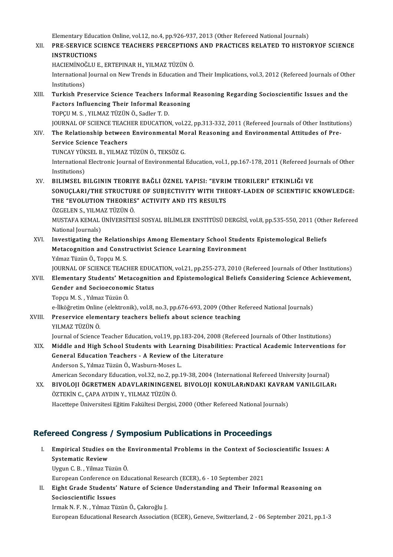Elementary Education Online, vol.12, no.4, pp.926-937, 2013 (Other Refereed National Journals)<br>PRE SERVICE SCIENCE TEACHERS RERCERTIONS AND PRACTICES RELATED TO HISTO

Elementary Education Online, vol.12, no.4, pp.926-937, 2013 (Other Refereed National Journals)<br>XII. PRE-SERVICE SCIENCE TEACHERS PERCEPTIONS AND PRACTICES RELATED TO HISTORYOF SCIENCE Elementary Educa<br>PRE-SERVICE S<br>INSTRUCTIONS<br>HACEMINOČLIJ PRE-SERVICE SCIENCE TEACHERS PERCEPTION<br>INSTRUCTIONS<br>HACIEMINOĞLU E., ERTEPINAR H., YILMAZ TÜZÜN Ö.<br>International Jaumal on New Tranda in Education on:

INSTRUCTIONS<br>HACIEMİNOĞLU E., ERTEPINAR H., YILMAZ TÜZÜN Ö.<br>International Journal on New Trends in Education and Their Implications, vol.3, 2012 (Refereed Journals of Other<br>Institutions) HACIEMÍNOČ<br>International<br>Institutions)<br>Turkich Pro International Journal on New Trends in Education and Their Implications, vol.3, 2012 (Refereed Journals of Oth<br>Institutions)<br>XIII. Turkish Preservice Science Teachers Informal Reasoning Regarding Socioscientific Issues and

Institutions)<br>Turkish Preservice Science Teachers Informal<br>Factors Influencing Their Informal Reasoning<br>TOPCU M.S., XU MAZ TÜZÜNÖ, Sadler T.D. Turkish Preservice Science Teachers In<br>Factors Influencing Their Informal Rea<br>TOPÇU M.S., YILMAZ TÜZÜN Ö., Sadler T.D.<br>JOUPNAL OF SCIENCE TEACHER EDUCATION Factors Influencing Their Informal Reasoning<br>TOPÇU M. S. , YILMAZ TÜZÜN Ö., Sadler T. D.<br>JOURNAL OF SCIENCE TEACHER EDUCATION, vol.22, pp.313-332, 2011 (Refereed Journals of Other Institutions)<br>The Belationship between Env

TOPÇU M. S. , YILMAZ TÜZÜN Ö., Sadler T. D.<br>JOURNAL OF SCIENCE TEACHER EDUCATION, vol.22, pp.313-332, 2011 (Refereed Journals of Other Institution<br>XIV. The Relationship between Environmental Moral Reasoning and Environ **JOURNAL OF SCIENCE TEACH<br>The Relationship between<br>Service Science Teachers<br>TUNGAY VÜVSEL B. VU MAZ** The Relationship between Environmental Mc<br>Service Science Teachers<br>TUNCAY YÜKSEL B., YILMAZ TÜZÜN Ö., TEKSÖZ G.<br>International Electronis Journal of Environmental

Service Science Teachers<br>TUNCAY YÜKSEL B., YILMAZ TÜZÜN Ö., TEKSÖZ G.<br>International Electronic Journal of Environmental Education, vol.1, pp.167-178, 2011 (Refereed Journals of Other TUNCAY YÜK<br>International<br>Institutions)<br>PH IMSEL P International Electronic Journal of Environmental Education, vol.1, pp.167-178, 2011 (Refereed Journal Institutions)<br>XV. BILIMSEL BILGININ TEORIYE BAĞLI ÖZNEL YAPISI: "EVRIM TEORILERI" ETKINLIĞI VE<br>SONUCLARI/THE STRUCTURE

- Institutions)<br>BILIMSEL BILGININ TEORIYE BAĞLI ÖZNEL YAPISI: "EVRIM TEORILERI" ETKINLIĞI VE<br>SONUÇLARI/THE STRUCTURE OF SUBJECTIVITY WITH THEORY-LADEN OF SCIENTIFIC KNOWLEDGE:<br>THE "EVOLUTION THEORIES" ACTIVITY AND ITS RESULT BILIMSEL BILGININ TEORIYE BAĞLI ÖZNEL YAPISI: "EVRIM TEORILERI" ETKINLIĞI VE SONUÇLARI/THE STRUCTURE OF SUBJECTIVITY WITH THEORY-LADEN OF SCIENTIFIC I<br>THE "EVOLUTION THEORIES" ACTIVITY AND ITS RESULTS<br>ÖZGELEN S.. YILMAZ TÜ SONUÇLARI/THE STRUCTUR<br>THE "EVOLUTION THEORIES<br>ÖZGELEN S., YILMAZ TÜZÜN Ö.<br>MISTAFA KEMAL ÜNİVERSİTES THE "EVOLUTION THEORIES" ACTIVITY AND ITS RESULTS<br>ÖZGELEN S., YILMAZ TÜZÜN Ö.<br>MUSTAFA KEMAL ÜNIVERSITESI SOSYAL BILIMLER ENSTİTÜSÜ DERGİSİ, vol.8, pp.535-550, 2011 (Other Refereed<br>National Jaurrak) ÖZGELEN S., YILMA<br>MUSTAFA KEMAL<br>National Journals)<br>Investigating the MUSTAFA KEMAL ÜNIVERSITESI SOSYAL BILIMLER ENSTITÜSÜ DERGISI, vol.8, pp.535-550, 2011 (Othe<br>National Journals)<br>XVI. Investigating the Relationships Among Elementary School Students Epistemological Beliefs<br>Metacomitian and
- National Journals)<br>Investigating the Relationships Among Elementary School Studer<br>Metacognition and Constructivist Science Learning Environment<br>Yilmaz Tüzün Ö. Tongu M.S **Investigating the Relation<br>Metacognition and Consti<br>Yılmaz Tüzün Ö., Topçu M. S.<br>JOUPMAL OF SCIENCE TEACI** Metacognition and Constructivist Science Learning Environment<br>Yılmaz Tüzün Ö., Topçu M. S.<br>JOURNAL OF SCIENCE TEACHER EDUCATION, vol.21, pp.255-273, 2010 (Refereed Journals of Other Institutions)<br>Flamentary Students' Metac Yılmaz Tüzün Ö., Topçu M. S.<br>JOURNAL OF SCIENCE TEACHER EDUCATION, vol.21, pp.255-273, 2010 (Refereed Journals of Other Institutions)<br>XVII. Elementary Students' Metacognition and Epistemological Beliefs Considering Science

JOURNAL OF SCIENCE TEACHER EDUC.<br>Elementary Students' Metacognitic<br>Gender and Socioeconomic Status<br>Tengu M.S., Vilmag Tügün Ö Elementary Students' Metacognition and Epistemological Beliefs Considering Science Achievement,<br>Gender and Socioeconomic Status<br>Topçu M. S. , Yılmaz Tüzün Ö. Gender and Socioeconomic Status<br>Topçu M. S. , Yılmaz Tüzün Ö.<br>e-İlköğretim Online (elektronik), vol.8, no.3, pp.676-693, 2009 (Other Refereed National Journals)<br>Preservise elementary teashers beliefs about ssiense teashing

XVIII. Preservice elementary teachers beliefs about science teaching<br>YILMAZ TÜZÜN Ö. e-İlköğretim Online<br><mark>Preservice eleme</mark><br>YILMAZ TÜZÜN Ö.<br>Journal of Science Preservice elementary teachers beliefs about science teaching<br>YILMAZ TÜZÜN Ö.<br>Journal of Science Teacher Education, vol.19, pp.183-204, 2008 (Refereed Journals of Other Institutions)<br>Middle and High School Students with Le

- XIX. Middle and High School Students with Learning Disabilities: Practical Academic Interventions for Journal of Science Teacher Education, vol.19, pp.183-204, 2008 (<br>Middle and High School Students with Learning Disabiliti<br>General Education Teachers - A Review of the Literature<br>Anderson S. Vilmas Türün Ö. Washuun Massa L Anderson S., Yılmaz Tüzün Ö., Wasburn-Moses L. American Secondary Education, vol.32, no.2, pp.19-38, 2004 (International Refereed University Journal) Anderson S., Yılmaz Tüzün Ö., Wasburn-Moses L.<br>American Secondary Education, vol.32, no.2, pp.19-38, 2004 (International Refereed University Journal)<br>XX. BIVOLOJI ÖGRETMEN ADAVLARININGENEL BIVOLOJI KONULARıNDAKI KAVRAM
- ÖZTEKİN C., ÇAPA AYDIN Y., YILMAZ TÜZÜN Ö.<br>Hacettepe Üniversitesi Eğitim Fakültesi Dergisi, 2000 (Other Refereed National Journals) BIVOLOJI ÖGRETMEN ADAVLARININGENEL BIVOLOJI KONULARıNDAKI KAVRAI<br>ÖZTEKİN C., ÇAPA AYDIN Y., YILMAZ TÜZÜN Ö.<br>Hacettepe Üniversitesi Eğitim Fakültesi Dergisi, 2000 (Other Refereed National Journals)

Refereed Congress / Symposium Publications in Proceedings<br>
I. Empirical Studies on the Environmental Problems in the Context of Socioscientific Issues: A<br>
Systematic Poview I. Empirical Studies on the Environmental Problems in the Context of Socioscientific Issues: A Systematic Review

Uygun C.B., Yilmaz Tüzün Ö.

European Conference on Educational Research (ECER), 6 - 10 September 2021

Uygun C. B. , Yilmaz Tüzün Ö.<br>European Conference on Educational Research (ECER), 6 - 10 September 2021<br>II. Eight Grade Students' Nature of Science Understanding and Their Informal Reasoning on<br>Seciencientific Issues European Conference or<br>Eight Grade Students'<br>Socioscientific Issues<br>Irmak N. E. N. - Vilmas Tü Eight Grade Students' Nature of Scienc<br>Socioscientific Issues<br>Irmak N. F. N. , Yılmaz Tüzün Ö., Çakıroğlu J.<br>European Edusational Bessarsh Assosiation Socioscientific Issues<br>Irmak N. F. N. , Yılmaz Tüzün Ö., Çakıroğlu J.<br>European Educational Research Association (ECER), Geneve, Switzerland, 2 - 06 September 2021, pp.1-3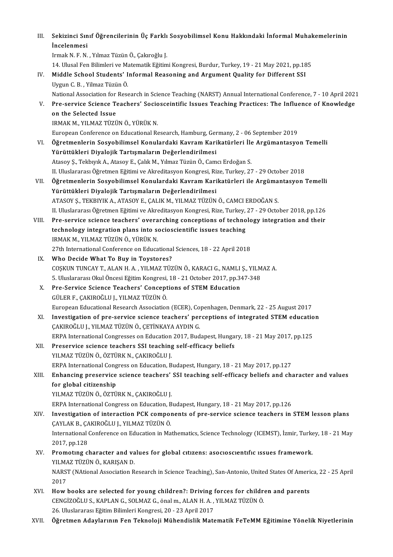| III.  | Sekizinci Sınıf Öğrencilerinin Üç Farklı Sosyobilimsel Konu Hakkındaki İnformal Muhakemelerinin                                                                                                                         |
|-------|-------------------------------------------------------------------------------------------------------------------------------------------------------------------------------------------------------------------------|
|       | <i>incelenmesi</i>                                                                                                                                                                                                      |
|       | Irmak N. F. N., Yılmaz Tüzün Ö., Çakıroğlu J.                                                                                                                                                                           |
|       | 14. Ulusal Fen Bilimleri ve Matematik Eğitimi Kongresi, Burdur, Turkey, 19 - 21 May 2021, pp.185                                                                                                                        |
| IV.   | Middle School Students' Informal Reasoning and Argument Quality for Different SSI                                                                                                                                       |
|       | Uygun C. B., Yilmaz Tüzün Ö.                                                                                                                                                                                            |
| V.    | National Association for Research in Science Teaching (NARST) Annual International Conference, 7 - 10 April 2021<br>Pre-service Science Teachers' Sociosceintific Issues Teaching Practices: The Influence of Knowledge |
|       | on the Selected Issue                                                                                                                                                                                                   |
|       | IRMAK M., YILMAZ TÜZÜN Ö., YÜRÜK N.                                                                                                                                                                                     |
|       | European Conference on Educational Research, Hamburg, Germany, 2 - 06 September 2019                                                                                                                                    |
| VI.   | Öğretmenlerin Sosyobilimsel Konulardaki Kavram Karikatürleri İle Argümantasyon Temelli                                                                                                                                  |
|       | Yürüttükleri Diyalojik Tartışmaların Değerlendirilmesi                                                                                                                                                                  |
|       | Atasoy Ş., Tekbıyık A., Atasoy E., Çalık M., Yılmaz Tüzün Ö., Camcı Erdoğan S.                                                                                                                                          |
|       | II. Uluslararası Öğretmen Eğitimi ve Akreditasyon Kongresi, Rize, Turkey, 27 - 29 October 2018                                                                                                                          |
| VII.  | Öğretmenlerin Sosyobilimsel Konulardaki Kavram Karikatürleri ile Argümantasyon Temelli                                                                                                                                  |
|       | Yürüttükleri Diyalojik Tartışmaların Değerlendirilmesi                                                                                                                                                                  |
|       | ATASOY Ş., TEKBIYIK A., ATASOY E., ÇALIK M., YILMAZ TÜZÜN Ö., CAMCI ERDOĞAN S.                                                                                                                                          |
|       | II. Uluslararası Öğretmen Eğitimi ve Akreditasyon Kongresi, Rize, Turkey, 27 - 29 October 2018, pp.126                                                                                                                  |
| VIII. | Pre-service science teachers' overarching conceptions of technology integration and their                                                                                                                               |
|       | technology integration plans into socioscientific issues teaching<br>IRMAK M., YILMAZ TÜZÜN Ö., YÜRÜK N.                                                                                                                |
|       | 27th International Conference on Educational Sciences, 18 - 22 April 2018                                                                                                                                               |
| IX.   | Who Decide What To Buy in Toystores?                                                                                                                                                                                    |
|       | COŞKUN TUNCAY T., ALAN H. A., YILMAZ TÜZÜN Ö., KARACI G., NAMLI Ş., YILMAZ A.                                                                                                                                           |
|       | 5. Uluslararası Okul Öncesi Eğitim Kongresi, 18 - 21 October 2017, pp 347-348                                                                                                                                           |
| X.    | Pre-Service Science Teachers' Conceptions of STEM Education                                                                                                                                                             |
|       | GÜLER F., ÇAKIROĞLU J., YILMAZ TÜZÜN Ö.                                                                                                                                                                                 |
|       | European Educational Research Association (ECER), Copenhagen, Denmark, 22 - 25 August 2017                                                                                                                              |
| XI.   | Investigation of pre-service science teachers' perceptions of integrated STEM education                                                                                                                                 |
|       | ÇAKIROĞLU J., YILMAZ TÜZÜN Ö., CETİNKAYA AYDIN G.                                                                                                                                                                       |
|       | ERPA International Congresses on Education 2017, Budapest, Hungary, 18 - 21 May 2017, pp.125                                                                                                                            |
| XII.  | Preservice science teachers SSI teaching self-efficacy beliefs                                                                                                                                                          |
|       | YILMAZ TÜZÜN Ö, ÖZTÜRK N., ÇAKIROĞLU J.                                                                                                                                                                                 |
|       | ERPA International Congress on Education, Budapest, Hungary, 18 - 21 May 2017, pp.127                                                                                                                                   |
| XIII. | Enhancing preservice science teachers' SSI teaching self-efficacy beliefs and character and values                                                                                                                      |
|       | for global citizenship                                                                                                                                                                                                  |
|       | YILMAZ TÜZÜN Ö, ÖZTÜRK N., ÇAKIROĞLU J.                                                                                                                                                                                 |
|       | ERPA International Congress on Education, Budapest, Hungary, 18 - 21 May 2017, pp.126                                                                                                                                   |
| XIV.  | Investigation of interaction PCK components of pre-service science teachers in STEM lesson plans<br>ÇAYLAK B., ÇAKIROĞLU J., YILMAZ TÜZÜN Ö.                                                                            |
|       | International Conference on Education in Mathematics, Science Technology (ICEMST), İzmir, Turkey, 18 - 21 May<br>2017, pp 128                                                                                           |
| XV.   | Promoting character and values for global citizens: asocioscientific issues framework.<br>YILMAZ TÜZÜN Ö, KARIŞAN D.                                                                                                    |
|       | NARST (NAtional Association Research in Science Teaching), San-Antonio, United States Of America, 22 - 25 April<br>2017                                                                                                 |
| XVI.  | How books are selected for young children?: Driving forces for children and parents<br>CENGİZOĞLU S., KAPLAN G., SOLMAZ G., önal m., ALAN H. A., YILMAZ TÜZÜN Ö.                                                        |
|       | 26. Uluslararası Eğitim Bilimleri Kongresi, 20 - 23 April 2017                                                                                                                                                          |
| XVII. | Öğretmen Adaylarının Fen Teknoloji Mühendislik Matematik FeTeMM Eğitimine Yönelik Niyetlerinin                                                                                                                          |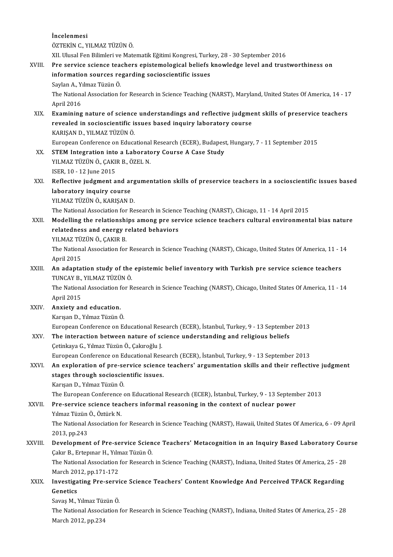İncelenmesi ÖZTEKİN C., YILMAZ TÜZÜN Ö. XI .UlusalFenBilimleriveMatematikEğitimiKongresi,Turkey,28-30September 2016 ÖZTEKİN C., YILMAZ TÜZÜN Ö.<br>XII. Ulusal Fen Bilimleri ve Matematik Eğitimi Kongresi, Turkey, 28 - 30 September 2016<br>XVIII. Pre service science teachers epistemological beliefs knowledge level and trustworthiness on<br>informa XII. Ulusal Fen Bilimleri ve Matematik Eğitimi Kongresi, Turk<br>Pre service science teachers epistemological beliefs l<br>information sources regarding socioscientific issues<br>Saylan A. Vilmaz Tüzün Ö Pre service science tea<br>information sources re<br>Saylan A., Yılmaz Tüzün Ö.<br>The National Association f i<mark>nformation sources regarding socioscientific issues</mark><br>Saylan A., Yılmaz Tüzün Ö.<br>The National Association for Research in Science Teaching (NARST), Maryland, United States Of America, 14 - 17 Saylan A., Y.<br>The Nation:<br>April 2016<br>Evemining The National Association for Research in Science Teaching (NARST), Maryland, United States Of America, 14 - 17<br>April 2016<br>XIX. Examining nature of science understandings and reflective judgment skills of preservice teacher April 2016<br>Examining nature of science understandings and reflective judgme<br>revealed in socioscientific issues based inquiry laboratory course<br>KARISAN D. XII MAZ TÜZÜN Ö Examining nature of science<br>revealed in socioscientific is<br>KARIŞAN D., YILMAZ TÜZÜN Ö.<br>European Conference en Educa revealed in socioscientific issues based inquiry laboratory course<br>KARIŞAN D., YILMAZ TÜZÜN Ö.<br>European Conference on Educational Research (ECER), Budapest, Hungary, 7 - 11 September 2015 XX. STEM Integration into a Laboratory Course A Case Study European Conference on Educational<br>STEM Integration into a Laborato<br>YILMAZ TÜZÜN Ö., ÇAKIR B., ÖZEL N.<br>ISER 10., 12 lune 2015 STEM Integration into<br>YILMAZ TÜZÜN Ö., ÇAKI<br>ISER, 10 - 12 June 2015<br>Beflestive iudsmant e YILMAZ TÜZÜN Ö., ÇAKIR B., ÖZEL N.<br>ISER, 10 - 12 June 2015<br>XXI. Reflective judgment and argumentation skills of preservice teachers in a socioscientific issues based<br>laboratery inquiry course lSER, 10 - 12 June 2015<br>Reflective judgment and ar<br>laboratory inquiry course<br>YU MAZ TÜZÜNÖ KARISAN F Reflective judgment and arg<br>laboratory inquiry course<br>YILMAZ TÜZÜN Ö., KARIŞAN D.<br>The National Association for Bo laboratory inquiry course<br>YILMAZ TÜZÜN Ö., KARIŞAN D.<br>The National Association for Research in Science Teaching (NARST), Chicago, 11 - 14 April 2015<br>Modelling the relationshing among nre servise ssience teachers sultural o YILMAZ TÜZÜN Ö., KARIŞAN D.<br>The National Association for Research in Science Teaching (NARST), Chicago, 11 - 14 April 2015<br>XXII. Modelling the relationships among pre service science teachers cultural environmental bias na The National Association for Research in Science<br>Modelling the relationships among pre ser<br>relatedness and energy related behaviors<br>VILMAZ TÜZÜNÖ CAKIP P Modelling the relationshi<br>relatedness and energy r<br>YILMAZ TÜZÜN Ö., ÇAKIR B.<br>The National Association for relatedness and energy related behaviors<br>YILMAZ TÜZÜN Ö., ÇAKIR B.<br>The National Association for Research in Science Teaching (NARST), Chicago, United States Of America, 11 - 14 YILMAZ TÜ!<br>The Nation:<br>April 2015<br>An adanta: The National Association for Research in Science Teaching (NARST), Chicago, United States Of America, 11 - 1<br>April 2015<br>XXIII. An adaptation study of the epistemic belief inventory with Turkish pre service science teachers April 2015<br>An adaptation study of the epistemic belief inventory with Turkish pre service science teachers<br>TUNCAY B., YILMAZ TÜZÜN Ö. An adaptation study of the epistemic belief inventory with Turkish pre service science teachers<br>TUNCAY B., YILMAZ TÜZÜN Ö.<br>The National Association for Research in Science Teaching (NARST), Chicago, United States Of Americ TUNCAY B.,<br>The Nation:<br>April 2015<br>Apriety on April 2015<br>XXIV. Anxiety and education. KarışanD.,YılmazTüzünÖ. European Conference on Educational Research (ECER), İstanbul, Turkey, 9 - 13 September 2013 Karışan D., Yılmaz Tüzün Ö.<br>European Conference on Educational Research (ECER), İstanbul, Turkey, 9 - 13 Septembe<br>XXV. The interaction between nature of science understanding and religious beliefs European Conference on Educational Res<br>The interaction between nature of sc<br>Çetinkaya G., Yılmaz Tüzün Ö., Çakıroğlu J.<br>European Conference en Educational Bes Çetinkaya G., Yılmaz Tüzün Ö., Çakıroğlu J.<br>European Conference on Educational Research (ECER), İstanbul, Turkey, 9 - 13 September 2013 Cetinkaya G., Yılmaz Tüzün Ö., Çakıroğlu J.<br>European Conference on Educational Research (ECER), İstanbul, Turkey, 9 - 13 September 2013<br>XXVI. An exploration of pre-service science teachers' argumentation skills and their r European Conference on Educational Rese<br>An exploration of pre-service science<br>stages through socioscientific issues.<br>Kawean D. Vilmer Türün Ö. An exploration of pre-se<br>stages through socioscie<br>Karışan D., Yılmaz Tüzün Ö.<br>The European Conforence ( stages through socioscientific issues.<br>Karışan D., Yılmaz Tüzün Ö.<br>The European Conference on Educational Research (ECER), İstanbul, Turkey, 9 - 13 September 2013<br>Pre servise ssianse teashers informal reasoning in the sent Karışan D., Yılmaz Tüzün Ö.<br>The European Conference on Educational Research (ECER), İstanbul, Turkey, 9 - 13 Septem<br>XXVII. Pre-service science teachers informal reasoning in the context of nuclear power<br>Velmaz Tüzün Ö. Özt The European Conference<br>Pre-service science tead<br>Yılmaz Tüzün Ö., Öztürk N.<br>The National Association f Pre-service science teachers informal reasoning in the context of nuclear power<br>Yılmaz Tüzün Ö., Öztürk N.<br>The National Association for Research in Science Teaching (NARST), Hawaii, United States Of America, 6 - 09 April<br>2 Yılmaz Tüzün<br>The National *I*<br>2013, pp.243<br>Develonman The National Association for Research in Science Teaching (NARST), Hawaii, United States Of America, 6 - 09 April<br>2013, pp.243<br>XXVIII. Development of Pre-service Science Teachers' Metacognition in an Inquiry Based Laborato 2013, pp.243<br><mark>Development of Pre-service Scien</mark><br>Çakır B., Ertepınar H., Yılmaz Tüzün Ö.<br>The National Association for Bessarch Development of Pre-service Science Teachers' Metacognition in an Inquiry Based Laboratory Cou<br>Çakır B., Ertepınar H., Yılmaz Tüzün Ö.<br>The National Association for Research in Science Teaching (NARST), Indiana, United State Cakır B., Ertepinar H., Yılm<br>The National Association<br>March 2012, pp.171-172<br>Investigating Pre-cervi The National Association for Research in Science Teaching (NARST), Indiana, United States Of America, 25 - 28<br>March 2012, pp.171-172<br>XXIX. Investigating Pre-service Science Teachers' Content Knowledge And Perceived TPACK R March 201<br>Investiga<br>Genetics<br>Saysa M Investigating Pre-servi<br>Genetics<br>Savaş M., Yılmaz Tüzün Ö.<br>The National Assosiation ( Genetics<br>Savaş M., Yılmaz Tüzün Ö.<br>The National Association for Research in Science Teaching (NARST), Indiana, United States Of America, 25 - 28 Savaş M., Yılmaz Tüz<br>The National Associ:<br>March 2012, pp.234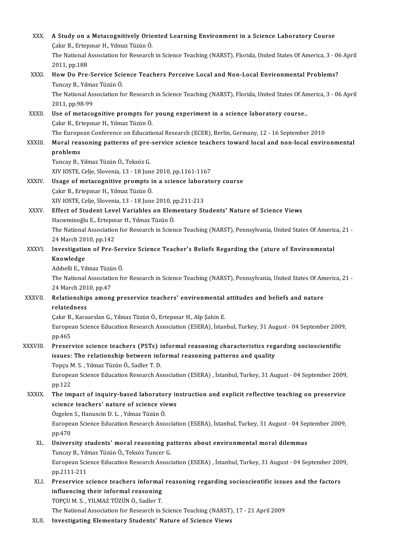| XXX.     | A Study on a Metacognitively Oriented Learning Environment in a Science Laboratory Course<br>Çakır B., Ertepinar H., Yılmaz Tüzün Ö.                |
|----------|-----------------------------------------------------------------------------------------------------------------------------------------------------|
|          | The National Association for Research in Science Teaching (NARST), Florida, United States Of America, 3 - 06 April<br>2011, pp 188                  |
| XXXI.    | How Do Pre-Service Science Teachers Perceive Local and Non-Local Environmental Problems?<br>Tuncay B., Yılmaz Tüzün Ö.                              |
|          | The National Association for Research in Science Teaching (NARST), Florida, United States Of America, 3 - 06 April<br>2011, pp 98-99                |
| XXXII.   | Use of metacognitive prompts for young experiment in a science laboratory course<br>Çakır B., Ertepınar H., Yılmaz Tüzün Ö.                         |
|          | The European Conference on Educational Research (ECER), Berlin, Germany, 12 - 16 September 2010                                                     |
| XXXIII.  | Moral reasoning patterns of pre-service science teachers toward local and non-local environmental<br>problems                                       |
|          | Tuncay B, Yılmaz Tüzün Ö, Teksöz G.                                                                                                                 |
|          | XIV IOSTE, Celje, Slovenia, 13 - 18 June 2010, pp 1161-1167                                                                                         |
| XXXIV.   | Usage of metacognitive prompts in a science laboratory course<br>Çakır B., Ertepınar H., Yılmaz Tüzün Ö.                                            |
|          | XIV IOSTE, Celje, Slovenia, 13 - 18 June 2010, pp.211-213                                                                                           |
| XXXV.    | Effect of Student Level Variables on Elementary Students' Nature of Science Views<br>Hacieminoğlu E., Ertepinar H., Yılmaz Tüzün Ö.                 |
|          | The National Association for Research in Science Teaching (NARST), Pennsylvania, United States Of America, 21 -<br>24 March 2010, pp.142            |
| XXXVI.   | Investigation of Pre-Service Science Teacher's Beliefs Regarding the (ature of Environmental<br>Knowledge                                           |
|          | Adıbelli E., Yılmaz Tüzün Ö.                                                                                                                        |
|          | The National Association for Research in Science Teaching (NARST), Pennsylvania, United States Of America, 21 -<br>24 March 2010, pp.47             |
| XXXVII.  | Relationships among preservice teachers' environmental attitudes and beliefs and nature<br>relatedness                                              |
|          | Çakır B., Karaarslan G., Yılmaz Tüzün Ö., Ertepınar H., Alp Şahin E.                                                                                |
|          | European Science Education Research Association (ESERA), İstanbul, Turkey, 31 August - 04 September 2009,<br>pp 465                                 |
| XXXVIII. | Preservice science teachers (PSTs) informal reasoning characteristics regarding socioscientific                                                     |
|          | issues: The relationship between informal reasoning patterns and quality<br>Topçu M. S., Yılmaz Tüzün Ö., Sadler T. D.                              |
|          | European Science Education Research Association (ESERA), İstanbul, Turkey, 31 August - 04 September 2009,<br>pp 122                                 |
| XXXIX.   | The impact of inquiry-based laboratory instruction and explicit reflective teaching on preservice                                                   |
|          | science teachers' nature of science views                                                                                                           |
|          | Özgelen S., Hanuscin D. L., Yılmaz Tüzün Ö.                                                                                                         |
|          | European Science Education Research Association (ESERA), İstanbul, Turkey, 31 August - 04 September 2009,<br>pp 470                                 |
| XL.      | University students' moral reasoning patterns about environmental moral dilemmas<br>Tuncay B., Yılmaz Tüzün Ö., Teksöz Tuncer G.                    |
|          | European Science Education Research Association (ESERA), İstanbul, Turkey, 31 August - 04 September 2009,<br>pp 2111 211                            |
| XLI.     | Preservice science teachers informal reasoning regarding socioscientific issues and the factors                                                     |
|          | influencing their informal reasoning                                                                                                                |
|          | TOPÇU M. S., YILMAZ TÜZÜN Ö., Sadler T.                                                                                                             |
| XLII.    | The National Association for Research in Science Teaching (NARST), 17 - 21 April 2009<br>Investigating Elementary Students' Nature of Science Views |
|          |                                                                                                                                                     |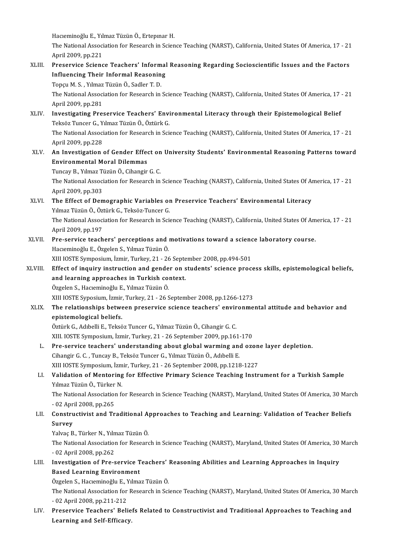Hacıeminoğlu E., Yılmaz Tüzün Ö., Ertepınar H.<br>The National Acsosistion for Pessansh in Ssien

The National Association for Research in Science Teaching (NARST), California, United States Of America, 17 - 21<br>April 2009, pp.221 Hacieminoğlu E., Yıl<br>The National Associ<br>April 2009, pp.221<br>Preservise Ssiene The National Association for Research in Science Teaching (NARST), California, United States Of America, 17 - 21<br>April 2009, pp.221<br>XLIII. Preservice Science Teachers' Informal Reasoning Regarding Socioscientific Issues an

# April 2009, pp.221<br>Preservice Science Teachers' Informal<br>Influencing Their Informal Reasoning<br>Tongu M.S., Vilmes Türün Ö. Sadler T.D. Preservice Science Teachers' Inform<br>Influencing Their Informal Reasonin<br>Topçu M.S., Yılmaz Tüzün Ö., Sadler T. D.<br>The National Association for Besearch in

I**nfluencing Their Informal Reasoning**<br>Topçu M. S. , Yılmaz Tüzün Ö., Sadler T. D.<br>The National Association for Research in Science Teaching (NARST), California, United States Of America, 17 - 21<br>April 2009, pp.281 Topçu M. S. , Yılmaz<br>The National Associ<br>April 2009, pp.281<br>Investigating Pres The National Association for Research in Science Teaching (NARST), California, United States Of America, 17<br>April 2009, pp.281<br>XLIV. Investigating Preservice Teachers' Environmental Literacy through their Epistemological B

- April 2009, pp.281<br><mark>Investigating Preservice Teachers' Env</mark>i<br>Teksöz Tuncer G., Yılmaz Tüzün Ö., Öztürk G.<br>The National Association for Besearsh in Sci Investigating Preservice Teachers' Environmental Literacy through their Epistemological Belief<br>Teksöz Tuncer G., Yılmaz Tüzün Ö., Öztürk G.<br>The National Association for Research in Science Teaching (NARST), California, Uni Teksöz Tuncer G., Y<br>The National Associ<br>April 2009, pp.228<br>An Investigation The National Association for Research in Science Teaching (NARST), California, United States Of America, 17 - 21<br>April 2009, pp.228<br>XLV. An Investigation of Gender Effect on University Students' Environmental Reasoning Pat
- April 2009, pp.228<br><mark>An Investigation of Gender Effe</mark><br>Environmental Moral Dilemmas<br>Tungay P. Vilmes Türün Ö. Gibansir An Investigation of Gender Effect on<br>Environmental Moral Dilemmas<br>Tuncay B., Yılmaz Tüzün Ö., Cihangir G. C.<br>The National Association for Beseensh in

Tuncay B., Yılmaz Tüzün Ö., Cihangir G. C.

Environmental Moral Dilemmas<br>Tuncay B., Yılmaz Tüzün Ö., Cihangir G. C.<br>The National Association for Research in Science Teaching (NARST), California, United States Of America, 17 - 21<br>April 2009, pp.303 The National Association for Research in Science Teaching (NARST), California, United States Of Alphard 2009, pp.303<br>XLVI. The Effect of Demographic Variables on Preservice Teachers' Environmental Literacy<br>Velmes Türün Ö.

- April 2009, pp.303<br><mark>The Effect of Demographic Variables or</mark><br>Yılmaz Tüzün Ö., Öztürk G., Teksöz-Tuncer G.<br>The National Assosiation for Bossansh in Sai The Effect of Demographic Variables on Preservice Teachers' Environmental Literacy<br>Yılmaz Tüzün Ö., Öztürk G., Teksöz-Tuncer G.<br>The National Association for Research in Science Teaching (NARST), California, United States O Yılmaz Tüzün Ö., Öz<br>The National Associ<br>April 2009, pp.197<br>Pre-Servise teash
- The National Association for Research in Science Teaching (NARST), California, United States Of Am<br>April 2009, pp.197<br>XLVII. Pre-service teachers' perceptions and motivations toward a science laboratory course. April 2009, pp.197<br>Pre-service teachers' perceptions and i<br>Hacıeminoğlu E., Özgelen S., Yılmaz Tüzün Ö. Pre-service teachers' perceptions and motivations toward a science laboratory course.

Hacıeminoğlu E., Özgelen S., Yılmaz Tüzün Ö.<br>XIII IOSTE Symposium, İzmir, Turkey, 21 - 26 September 2008, pp.494-501<br>XLVIII. Effect of inquiry instruction and gender on students' science process skills, epistemological bel XIII IOSTE Symposium, İzmir, Turkey, 21 - 26 September 2008, pp.494-501<br>Effect of inquiry instruction and gender on students' science proc<br>and learning approaches in Turkish context.<br>Özgelen S., Hacieminoğlu E., Yılmaz Tüz Effect of inquiry instruction and gende<br>and learning approaches in Turkish co:<br>Özgelen S., Hacıeminoğlu E., Yılmaz Tüzün Ö.<br>YIII JOSTE Synosium İzmir Turkey 21, 26.8

XIII IOSTE Syposium, İzmir, Turkey, 21 - 26 September 2008, pp.1266-1273

## Özgelen S., Hacıeminoğlu E., Yılmaz Tüzün Ö.<br>XIII IOSTE Syposium, İzmir, Turkey, 21 - 26 September 2008, pp.1266-1273<br>XLIX. The relationships between preservice science teachers' environmental attitude and behavior and XIII IOSTE Syposium, İzmir<br>The relationships betwe<br>epistemological beliefs.<br>Öztürk C. Adibelli E. Teksö The relationships between preservice science teachers' envir<br>epistemological beliefs.<br>Öztürk G., Adıbelli E., Teksöz Tuncer G., Yılmaz Tüzün Ö., Cihangir G. C.<br>YUL JOSTE Sumnesium İsmir Turkey 21, 26 September 2000 pp.16: <mark>epistemological beliefs.</mark><br>Öztürk G., Adıbelli E., Teksöz Tuncer G., Yılmaz Tüzün Ö., Cihangir G. C.<br>XIII. IOSTE Symposium, İzmir, Turkey, 21 - 26 September 2009, pp.161-170<br>Pre-servise tesebers' understanding about slabel

Öztürk G., Adıbelli E., Teksöz Tuncer G., Yılmaz Tüzün Ö., Cihangir G. C.<br>XIII. IOSTE Symposium, İzmir, Turkey, 21 - 26 September 2009, pp.161-170<br>L. Pre-service teachers' understanding about global warming and ozone layer XIII. IOSTE Symposium, İzmir, Turkey, 21 - 26 September 2009, pp.161<br>Pre-service teachers' understanding about global warming and<br>Cihangir G. C. , Tuncay B., Teksöz Tuncer G., Yılmaz Tüzün Ö., Adıbelli E.<br>YIII IOSTE Sympos Pre-service teachers' understanding about global warming and ozon<br>Cihangir G. C. , Tuncay B., Teksöz Tuncer G., Yılmaz Tüzün Ö., Adıbelli E.<br>XIII IOSTE Symposium, İzmir, Turkey, 21 - 26 September 2008, pp.1218-1227<br>Velidat XIII IOSTE Symposium, İzmir, Turkey, 21 - 26 September 2008, pp.1218-1227

# Cihangir G. C. , Tuncay B., Teksöz Tuncer G., Yılmaz Tüzün Ö., Adıbelli E.<br>XIII IOSTE Symposium, İzmir, Turkey, 21 - 26 September 2008, pp.1218-1227<br>LI. Validation of Mentoring for Effective Primary Science Teaching Instru Validation of Mentoring for Effective Primary Science Teaching Instrument for a Turkish Sample<br>The National Association for Research in Science Teaching (NARST), Maryland, United States Of America, 30 March<br>02 April 2008,

Yılmaz Tüzün Ö., Türker<br>The National Association<br>- 02 April 2008, pp.265<br>Constructivist and Tr The National Association for Research in Science Teaching (NARST), Maryland, United States Of America, 30 Mare<br>- 02 April 2008, pp.265<br>LII. Constructivist and Traditional Approaches to Teaching and Learning: Validation of

# - 02 Apr<br>Constru<br>Survey<br><sup>Volves P</sup> Constructivist and Traditional A<br>Survey<br>Yalvaç B., Türker N., Yılmaz Tüzün Ö.<br>The National Association for Bessars

S**urvey**<br>Yalvaç B., Türker N., Yılmaz Tüzün Ö.<br>The National Association for Research in Science Teaching (NARST), Maryland, United States Of America, 30 March Yalvaç B., Türker N., Yıln<br>The National Association<br>- 02 April 2008, pp.262<br>Investisation of Bre The National Association for Research in Science Teaching (NARST), Maryland, United States Of America, 30<br>- 02 April 2008, pp.262<br>LIII. Investigation of Pre-service Teachers' Reasoning Abilities and Learning Approaches in

- 02 April 2008, pp.262<br>Investigation of Pre-service T<br>Based Learning Environment<br>Özgelen S. Hestemineğlu E. Vilme Investigation of Pre-service Teachers'<br>Based Learning Environment<br>Özgelen S., Hacıeminoğlu E., Yılmaz Tüzün Ö.<br>The National Association for Besearsh in Sci

Based Learning Environment<br>Özgelen S., Hacıeminoğlu E., Yılmaz Tüzün Ö.<br>The National Association for Research in Science Teaching (NARST), Maryland, United States Of America, 30 March Özgelen S., Hacıeminoğlu E., 1<br>The National Association for<br>- 02 April 2008, pp.211-212<br>Preservise Teashers' Beli The National Association for Research in Science Teaching (NARST), Maryland, United States Of America, 30 Marc<br>- 02 April 2008, pp.211-212<br>LIV. Preservice Teachers' Beliefs Related to Constructivist and Traditional Approac

- 02 April 2008, pp.211-212<br>Preservice Teachers' Belie<br>Learning and Self-Efficacy.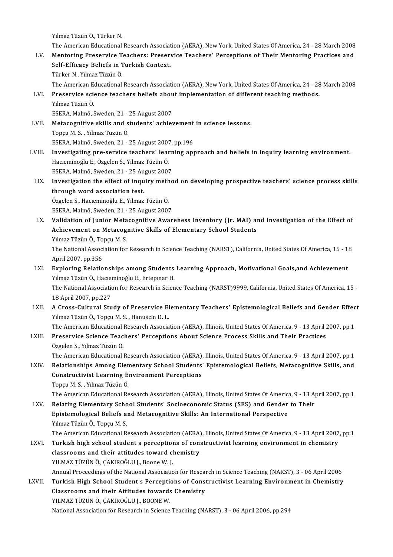Yılmaz Tüzün Ö., Türker N.

Yılmaz Tüzün Ö., Türker N.<br>The American Educational Research Association (AERA), New York, United States Of America, 24 - 28 March 2008<br>Mantaring Presenvise Teachers: Presenvise Teachers' Persentions of Their Mantaring Pre

- Yılmaz Tüzün Ö., Türker N.<br>The American Educational Research Association (AERA), New York, United States Of America, 24 28 March 2008<br>LV. Mentoring Preservice Teachers: Preservice Teachers' Perceptions of Their Mentoring The American Educational Research Associat<br>Mentoring Preservice Teachers: Preser<br>Self-Efficacy Beliefs in Turkish Context.<br>Türker N. Vilmes Türün Ö Mentoring Preservice T<br>Self-Efficacy Beliefs in T<br>Türker N., Yılmaz Tüzün Ö.<br>The American Educational Self-Efficacy Beliefs in Turkish Context.<br>Türker N., Yılmaz Tüzün Ö.<br>The American Educational Research Association (AERA), New York, United States Of America, 24 - 28 March 2008
- Türker N., Yılmaz Tüzün Ö.<br>1988: The American Educational Research Association (AERA), New York, United States Of America, 24 28<br>1991: Preservice science teachers beliefs about implementation of different teaching method The American E<br>Preservice scie<br>Yılmaz Tüzün Ö.<br>ESEPA Melmä S Preservice science teachers beliefs abou<br>Yılmaz Tüzün Ö.<br>ESERA, Malmö, Sweden, 21 - 25 August 2007<br>Matagagnitive skilk and students' asbiet

Yılmaz Tüzün Ö.<br>ESERA, Malmö, Sweden, 21 - 25 August 2007<br>LVII. Metacognitive skills and students' achievement in science lessons.<br>Tongu M. S., Yılmaz Tüzün Ö. ESERA, Malmö, Sweden, 21<br>**Metacognitive skills and s<br>Topçu M. S., Yılmaz Tüzün Ö.**<br>ESERA, Malmö, Sundon, 21 Metacognitive skills and students' achievement<br>Topçu M. S. , Yılmaz Tüzün Ö.<br>ESERA, Malmö, Sweden, 21 - 25 August 2007, pp.196<br>Investigating nre-servise teachers' learning any Topçu M. S. , Yılmaz Tüzün Ö.<br>ESERA, Malmö, Sweden, 21 - 25 August 2007, pp.196<br>LVIII. Investigating pre-service teachers' learning approach and beliefs in inquiry learning environment.

- Hacıeminoğlu E., Özgelen S., Yılmaz Tüzün Ö. Investigating pre-service teachers' learn<br>Hacıeminoğlu E., Özgelen S., Yılmaz Tüzün Ö.<br>ESERA, Malmö, Sweden, 21 - 25 August 2007<br>Investigation the effect of inquiry mathe Hacieminoğlu E., Özgelen S., Yılmaz Tüzün Ö.<br>ESERA, Malmö, Sweden, 21 - 25 August 2007<br>LIX. Investigation the effect of inquiry method on developing prospective teachers' science process skills<br>through word association
- ESERA, Malmö, Sweden, 21 25 Au<br>Investigation the effect of inque<br>through word association test. Investigation the effect of inquiry meth<br>through word association test.<br>Özgelen S., Hacıeminoğlu E., Yılmaz Tüzün Ö.<br>ESERA Malmä Surdan 21, 25 August 2007 through word association test.<br>Özgelen S., Hacıeminoğlu E., Yılmaz Tüzün Ö.<br>ESERA, Malmö, Sweden, 21 - 25 August 2007

Özgelen S., Hacıeminoğlu E., Yılmaz Tüzün Ö.<br>ESERA, Malmö, Sweden, 21 - 25 August 2007<br>LX. Validation of Junior Metacognitive Awareness Inventory (Jr. MAI) and Investigation of the Effect of ESERA, Malmö, Sweden, 21 - 25 August 2007<br>Validation of Junior Metacognitive Awareness Inventory (Jr. MAI) an<br>Achievement on Metacognitive Skills of Elementary School Students<br>Vilmaz Tüzün Ö. Tongu M. S **Validation of Junior Meta<br>Achievement on Metacog<br>Yılmaz Tüzün Ö., Topçu M. S.<br>The National Association for** Achievement on Metacognitive Skills of Elementary School Students<br>Yılmaz Tüzün Ö., Topçu M. S.<br>The National Association for Research in Science Teaching (NARST), California, United States Of America, 15 - 18

Yılmaz Tüzün Ö., To<br>The National Associ<br>April 2007, pp.356<br>Evnloring Bolatio The National Association for Research in Science Teaching (NARST), California, United States Of America, 15 - 1:<br>April 2007, pp.356<br>LXI. Exploring Relationships among Students Learning Approach, Motivational Goals,and Achi

- April 2007, pp.356<br>Exploring Relationships among Students Learning Approach, Motivational Goals,and Achievement<br>Yılmaz Tüzün Ö., Hacıeminoğlu E., Ertepınar H. Exploring Relationships among Students Learning Approach, Motivational Goals,and Achievement<br>Yılmaz Tüzün Ö., Hacıeminoğlu E., Ertepınar H.<br>The National Association for Research in Science Teaching (NARST)9999, California, Yılmaz Tüzün Ö., Hacıel<br>The National Associatio<br>18 April 2007, pp.227<br>A Cross Cultural Stu The National Association for Research in Science Teaching (NARST)9999, California, United States Of America, 15<br>18 April 2007, pp.227<br>LXII. A Cross-Cultural Study of Preservice Elementary Teachers' Epistemological Beliefs
- 18 April 2007, pp.227<br>**A Cross-Cultural Study of Preservice El**<br>Yılmaz Tüzün Ö., Topçu M. S. , Hanuscin D. L.<br>The American Educational Bessarsh Assasia A Cross-Cultural Study of Preservice Elementary Teachers' Epistemological Beliefs and Gender Effec<br>Yılmaz Tüzün Ö., Topçu M. S. , Hanuscin D. L.<br>The American Educational Research Association (AERA), Illinois, United States
- Yılmaz Tüzün Ö., Topçu M. S. , Hanuscin D. L.<br>The American Educational Research Association (AERA), Illinois, United States Of America, 9 13 April 2<br>LXIII. Preservice Science Teachers' Perceptions About Science Process S The American Educational<br>Preservice Science Teac<br>Özgelen S., Yılmaz Tüzün Ö.<br>The American Educational Preservice Science Teachers' Perceptions About Science Process Skills and Their Practices<br>Özgelen S., Yılmaz Tüzün Ö.<br>The American Educational Research Association (AERA), Illinois, United States Of America, 9 - 13 April 2

Özgelen S., Yılmaz Tüzün Ö.<br>The American Educational Research Association (AERA), Illinois, United States Of America, 9 - 13 April 2007, pp.1<br>LXIV. Relationships Among Elementary School Students' Epistemological Belief The American Educational Research Association (AERA),<br>Relationships Among Elementary School Students'<br>Constructivist Learning Environment Perceptions<br>Tengy M.S., Vilmes Türün Ö Relationships Among Elen<br>Constructivist Learning E<br>Topçu M. S. , Yılmaz Tüzün Ö.<br>The American Educational Be Constructivist Learning Environment Perceptions<br>Topçu M. S. , Yılmaz Tüzün Ö.<br>The American Educational Research Association (AERA), Illinois, United States Of America, 9 - 13 April 2007, pp.1<br>Relating Elementary School Stu

Topçu M. S. , Yılmaz Tüzün Ö.<br>The American Educational Research Association (AERA), Illinois, United States Of America, 9 - 13 A<sub>l</sub><br>LXV. Relating Elementary School Students' Socioeconomic Status (SES) and Gender to Their The American Educational Research Association (AERA), Illinois, United States Of American<br>Relating Elementary School Students' Socioeconomic Status (SES) and Gender<br>Epistemological Beliefs and Metacognitive Skills: An Inte Relating Elementary School Students' Socioeconomic Status (SES) and Gender to Their<br>Epistemological Beliefs and Metacognitive Skills: An International Perspective<br>Yılmaz Tüzün Ö., Topçu M. S. Epistemological Beliefs and Metacognitive Skills: An International Perspective<br>Yılmaz Tüzün Ö., Topçu M. S.<br>Turkich bish sebool student a persentions of senstrustivist learning environment in shemistry.

Yılmaz Tüzün Ö., Topçu M. S.<br>The American Educational Research Association (AERA), Illinois, United States Of America, 9 - 13 April 2007<br>LXVI. Turkish high school student s perceptions of constructivist learning environmen The American Educational Research Association (AERA)<br>Turkish high school student s perceptions of cons<br>classrooms and their attitudes toward chemistry<br>YU MAZ TÜZÜN Ö, CAKIROČLUJ, Beene W. L Turkish high school student s perception<br>classrooms and their attitudes toward cl<br>YILMAZ TÜZÜN Ö.,ÇAKIROĞLU J., Boone W. J.<br>Annual Preseedings of the National Associatio classrooms and their attitudes toward chemistry<br>YILMAZ TÜZÜN Ö., ÇAKIROĞLU J., Boone W. J.<br>Annual Proceedings of the National Association for Research in Science Teaching (NARST), 3 - 06 April 2006<br>Turkich High School Stud

YILMAZ TÜZÜN Ö., ÇAKIROĞLU J., Boone W. J.<br>Annual Proceedings of the National Association for Research in Science Teaching (NARST), 3 - 06 April 2006<br>LXVII. Turkish High School Student s Perceptions of Constructivist L

Annual Proceedings of the National Association for Resear<br>Turkish High School Student s Perceptions of Const<br>Classrooms and their Attitudes towards Chemistry<br>YU MAZ TÜZÜN Ö, CAKIROČLU L ROONE W Classrooms and their Attitudes towards Chemistry<br>YILMAZ TÜZÜN Ö., ÇAKIROĞLU J., BOONE W. National Association for Research in Science Teaching (NARST), 3 - 06 April 2006, pp.294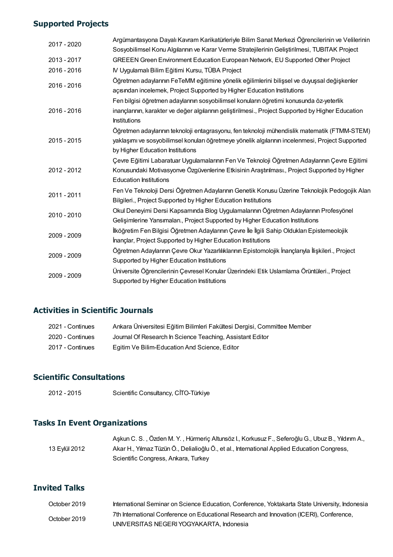### Supported Projects

| 2017 - 2020 | Argümantasyona Dayalı Kavram Karikatürleriyle Bilim Sanat Merkezi Öğrencilerinin ve Velilerinin<br>Sosyobilimsel Konu Algılarının ve Karar Verme Stratejilerinin Geliştirilmesi, TUBITAK Project                                     |
|-------------|--------------------------------------------------------------------------------------------------------------------------------------------------------------------------------------------------------------------------------------|
| 2013 - 2017 | GREEEN Green Environment Education European Network, EU Supported Other Project                                                                                                                                                      |
| 2016 - 2016 | IV Uygulamalı Bilim Eğitimi Kursu, TÜBA Project                                                                                                                                                                                      |
| 2016 - 2016 | Öğretmen adaylarının FeTeMM eğitimine yönelik eğilimlerini bilişsel ve duyuşsal değişkenler<br>açısından incelemek, Project Supported by Higher Education Institutions                                                               |
| 2016 - 2016 | Fen bilgisi öğretmen adaylarının sosyobilimsel konuların öğretimi konusunda öz-yeterlik<br>inançlarının, karakter ve değer algılarının geliştirilmesi., Project Supported by Higher Education<br><b>Institutions</b>                 |
| 2015 - 2015 | Öğretmen adaylarının teknoloji entagrasyonu, fen teknoloji mühendislik matematik (FTMM-STEM)<br>yaklaşımı ve sosyobilimsel konuları öğretmeye yönelik algılarının incelenmesi, Project Supported<br>by Higher Education Institutions |
| 2012 - 2012 | Çevre Eğitimi Labaratuar Uygulamalarının Fen Ve Teknoloji Öğretmen Adaylarının Çevre Eğitimi<br>Konusundaki Motivasyonve Özgüvenlerine Etkisinin Araştırılması., Project Supported by Higher<br><b>Education Institutions</b>        |
| 2011 - 2011 | Fen Ve Teknoloji Dersi Öğretmen Adaylarının Genetik Konusu Üzerine Teknolojik Pedogojik Alan<br>Bilgileri., Project Supported by Higher Education Institutions                                                                       |
| 2010 - 2010 | Okul Deneyimi Dersi Kapsamında Blog Uygulamalarının Öğretmen Adaylarının Profesyönel<br>Gelişimlerine Yansımaları., Project Supported by Higher Education Institutions                                                               |
| 2009 - 2009 | İlköğretim Fen Bilgisi Öğretmen Adaylarının Çevre İle İlgili Sahip Oldukları Epistemeolojik<br>Inanclar, Project Supported by Higher Education Institutions                                                                          |
| 2009 - 2009 | Öğretmen Adaylarının Çevre Okur Yazarlılıklarının Epistomolojik İnançlarıyla İlişkileri., Project<br>Supported by Higher Education Institutions                                                                                      |
| 2009 - 2009 | Üniversite Öğrencilerinin Çevresel Konular Üzerindeki Etik Uslamlama Örüntüleri., Project<br>Supported by Higher Education Institutions                                                                                              |

### Activities in Scientific Journals

| 2021 - Continues | Ankara Üniversitesi Eğitim Bilimleri Fakültesi Dergisi, Committee Member |
|------------------|--------------------------------------------------------------------------|
| 2020 - Continues | Journal Of Research In Science Teaching, Assistant Editor                |
| 2017 - Continues | Egitim Ve Bilim-Education And Science, Editor                            |

### Scientific Consultations

2012 - 2015 Scientific Consultancy, CİTO-Türkiye

### Tasks In Event Organizations

|               | Aşkun C. S., Özden M. Y., Hürmeriç Altunsöz I., Korkusuz F., Seferoğlu G., Ubuz B., Yıldırım A., |
|---------------|--------------------------------------------------------------------------------------------------|
| 13 Eylül 2012 | Akar H., Yılmaz Tüzün Ö., Delialioğlu Ö., et al., International Applied Education Congress,      |
|               | Scientific Congress, Ankara, Turkey                                                              |

### Invited Talks

| October 2019 | International Seminar on Science Education, Conference, Yoktakarta State University, Indonesia |
|--------------|------------------------------------------------------------------------------------------------|
| October 2019 | 7th International Conference on Educational Research and Innovation (ICERI), Conference,       |
|              | UNIVERSITAS NEGERI YOGYAKARTA, Indonesia                                                       |